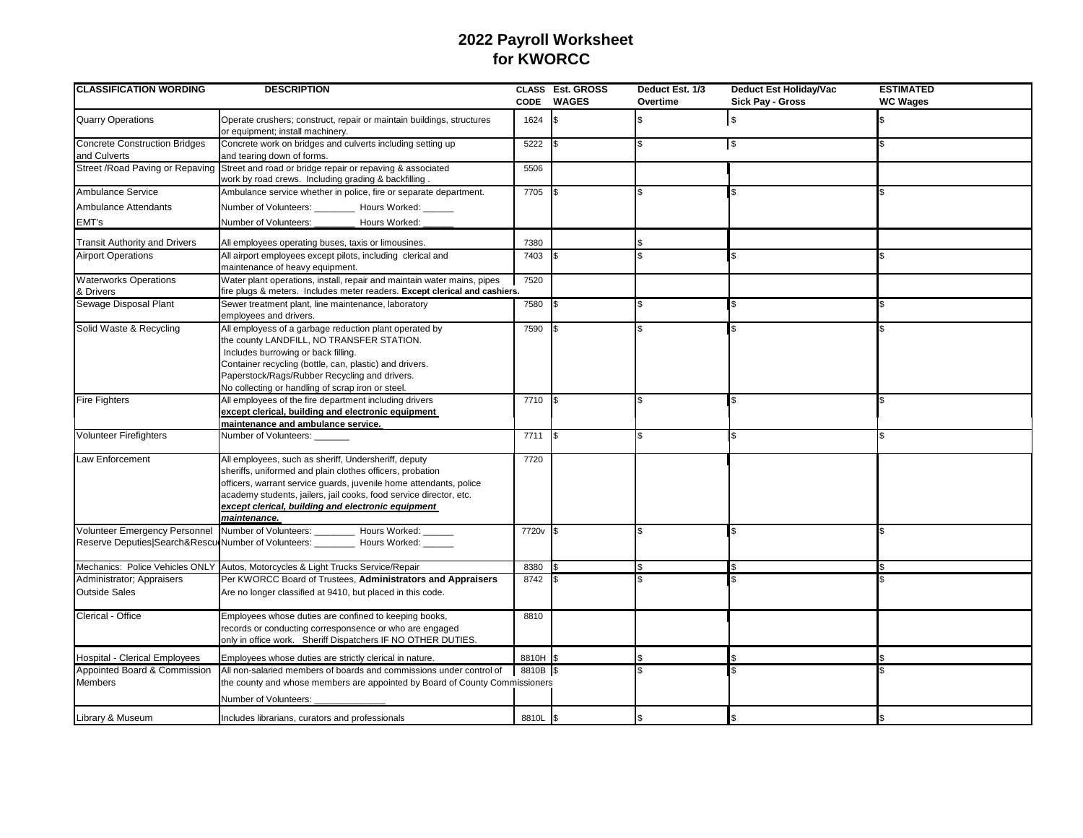## **2022 Payroll Worksheet for KWORCC**

| <b>CLASSIFICATION WORDING</b>                        | <b>DESCRIPTION</b>                                                                                                                                                                                                                                                                                                                  | <b>CODE</b>        | CLASS Est. GROSS<br><b>WAGES</b> | Deduct Est. 1/3<br>Overtime | Deduct Est Holiday/Vac<br>Sick Pay - Gross | <b>ESTIMATED</b><br><b>WC Wages</b> |
|------------------------------------------------------|-------------------------------------------------------------------------------------------------------------------------------------------------------------------------------------------------------------------------------------------------------------------------------------------------------------------------------------|--------------------|----------------------------------|-----------------------------|--------------------------------------------|-------------------------------------|
| <b>Quarry Operations</b>                             | Operate crushers; construct, repair or maintain buildings, structures<br>or equipment; install machinery.                                                                                                                                                                                                                           | 1624               |                                  |                             | $\frac{3}{2}$                              |                                     |
| <b>Concrete Construction Bridges</b><br>and Culverts | Concrete work on bridges and culverts including setting up<br>and tearing down of forms.                                                                                                                                                                                                                                            | 5222               |                                  |                             | $\sqrt{3}$                                 |                                     |
|                                                      | Street /Road Paving or Repaving Street and road or bridge repair or repaving & associated<br>work by road crews. Including grading & backfilling.                                                                                                                                                                                   | 5506               |                                  |                             |                                            |                                     |
| Ambulance Service                                    | Ambulance service whether in police, fire or separate department.                                                                                                                                                                                                                                                                   | 7705               |                                  |                             |                                            |                                     |
| Ambulance Attendants                                 | Number of Volunteers: _________ Hours Worked: _                                                                                                                                                                                                                                                                                     |                    |                                  |                             |                                            |                                     |
| EMT's                                                | Number of Volunteers:<br>Hours Worked:                                                                                                                                                                                                                                                                                              |                    |                                  |                             |                                            |                                     |
| <b>Transit Authority and Drivers</b>                 | All employees operating buses, taxis or limousines.                                                                                                                                                                                                                                                                                 | 7380               |                                  |                             |                                            |                                     |
| <b>Airport Operations</b>                            | All airport employees except pilots, including clerical and<br>maintenance of heavy equipment.                                                                                                                                                                                                                                      | 7403               |                                  |                             |                                            |                                     |
| <b>Waterworks Operations</b><br>& Drivers            | Water plant operations, install, repair and maintain water mains, pipes<br>fire plugs & meters. Includes meter readers. Except clerical and cashiers.                                                                                                                                                                               | 7520               |                                  |                             |                                            |                                     |
| Sewage Disposal Plant                                | Sewer treatment plant, line maintenance, laboratory<br>employees and drivers.                                                                                                                                                                                                                                                       | 7580               | I\$                              |                             |                                            |                                     |
| Solid Waste & Recycling                              | All employess of a garbage reduction plant operated by<br>the county LANDFILL, NO TRANSFER STATION.<br>Includes burrowing or back filling.<br>Container recycling (bottle, can, plastic) and drivers.<br>Paperstock/Rags/Rubber Recycling and drivers.<br>No collecting or handling of scrap iron or steel.                         | 7590               |                                  |                             |                                            |                                     |
| <b>Fire Fighters</b>                                 | All employees of the fire department including drivers<br>except clerical, building and electronic equipment<br>maintenance and ambulance service.                                                                                                                                                                                  | 7710               |                                  |                             |                                            |                                     |
| <b>Volunteer Firefighters</b>                        | Number of Volunteers:                                                                                                                                                                                                                                                                                                               | 7711               |                                  |                             | S.                                         |                                     |
| Law Enforcement                                      | All employees, such as sheriff, Undersheriff, deputy<br>sheriffs, uniformed and plain clothes officers, probation<br>officers, warrant service guards, juvenile home attendants, police<br>academy students, jailers, jail cooks, food service director, etc.<br>except clerical, building and electronic equipment<br>maintenance. | 7720               |                                  |                             |                                            |                                     |
| <b>Volunteer Emergency Personnel</b>                 | Number of Volunteers:<br>Hours Worked:<br>Reserve Deputies Search&Rescu Number of Volunteers: _______ Hours Worked: _                                                                                                                                                                                                               | 7720v              |                                  |                             |                                            |                                     |
| Mechanics: Police Vehicles ONLY                      | Autos, Motorcycles & Light Trucks Service/Repair                                                                                                                                                                                                                                                                                    | 8380               |                                  |                             |                                            |                                     |
| Administrator; Appraisers<br><b>Outside Sales</b>    | Per KWORCC Board of Trustees, Administrators and Appraisers<br>Are no longer classified at 9410, but placed in this code.                                                                                                                                                                                                           | 8742               |                                  |                             |                                            |                                     |
| Clerical - Office                                    | Employees whose duties are confined to keeping books,<br>records or conducting corresponsence or who are engaged<br>only in office work. Sheriff Dispatchers IF NO OTHER DUTIES.                                                                                                                                                    | 8810               |                                  |                             |                                            |                                     |
| <b>Hospital - Clerical Employees</b>                 | Employees whose duties are strictly clerical in nature.                                                                                                                                                                                                                                                                             | 8810H              |                                  |                             |                                            |                                     |
| Appointed Board & Commission<br><b>Members</b>       | All non-salaried members of boards and commissions under control of<br>the county and whose members are appointed by Board of County Commissioners<br>Number of Volunteers:                                                                                                                                                         | 8810B <sub>S</sub> |                                  |                             |                                            |                                     |
| Library & Museum                                     | Includes librarians, curators and professionals                                                                                                                                                                                                                                                                                     | 8810L              | l\$                              |                             |                                            |                                     |